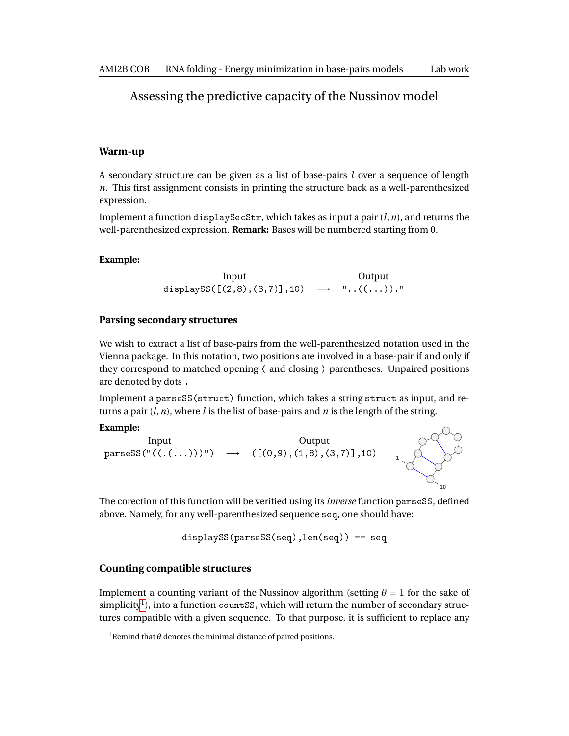# Assessing the predictive capacity of the Nussinov model

#### **Warm-up**

A secondary structure can be given as a list of base-pairs *l* over a sequence of length *n*. This first assignment consists in printing the structure back as a well-parenthesized expression.

Implement a function displaySecStr, which takes as input a pair (*l*,*n*), and returns the well-parenthesized expression. **Remark:** Bases will be numbered starting from 0.

#### **Example:**

Input  

$$
Output
$$
 Output  
displays([(2,8),(3,7)],10)  $\longrightarrow$  "...((...))."

## **Parsing secondary structures**

We wish to extract a list of base-pairs from the well-parenthesized notation used in the Vienna package. In this notation, two positions are involved in a base-pair if and only if they correspond to matched opening ( and closing ) parentheses. Unpaired positions are denoted by dots .

Implement a parseSS(struct) function, which takes a string struct as input, and returns a pair (*l*,*n*), where *l* is the list of base-pairs and *n* is the length of the string.

## **Example:**



The corection of this function will be verified using its *inverse* function parseSS, defined above. Namely, for any well-parenthesized sequence seq, one should have:

displaySS(parseSS(seq),len(seq)) == seq

### **Counting compatible structures**

Implement a counting variant of the Nussinov algorithm (setting  $\theta = 1$  for the sake of simplicity $^{\rm l}$ ), into a function <code>countSS</code>, which will return the number of secondary structures compatible with a given sequence. To that purpose, it is sufficient to replace any

<span id="page-0-0"></span><sup>&</sup>lt;sup>1</sup>Remind that  $\theta$  denotes the minimal distance of paired positions.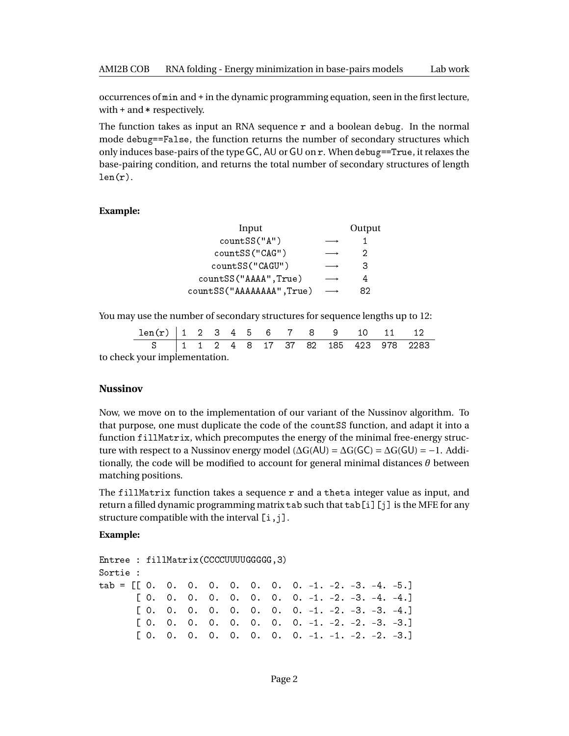occurrences of min and + in the dynamic programming equation, seen in the first lecture, with + and \* respectively.

The function takes as input an RNA sequence  $r$  and a boolean debug. In the normal mode debug==False, the function returns the number of secondary structures which only induces base-pairs of the type GC, AU or GU on r. When debug==True, it relaxes the base-pairing condition, and returns the total number of secondary structures of length  $len(r)$ .

#### **Example:**

| Input                     | Output |
|---------------------------|--------|
| countSS("A")              |        |
| countSS("CAG")            | 2      |
| countSS("CAGU")           | 3      |
| countSS("AAAA", True)     | 4      |
| countSS("AAAAAAAA", True) | 82     |

You may use the number of secondary structures for sequence lengths up to 12:

| $len(r)$   1 2 3 4 5 6 7 8 9 10 11      |  |  |  |  |  |  |
|-----------------------------------------|--|--|--|--|--|--|
| S   1 1 2 4 8 17 37 82 185 423 978 2283 |  |  |  |  |  |  |
| ek vour implementation                  |  |  |  |  |  |  |

to check your implementation.

#### **Nussinov**

Now, we move on to the implementation of our variant of the Nussinov algorithm. To that purpose, one must duplicate the code of the countSS function, and adapt it into a function fillMatrix, which precomputes the energy of the minimal free-energy structure with respect to a Nussinov energy model ( $\Delta G(AU) = \Delta G(GC) = \Delta G(U) = -1$ . Additionally, the code will be modified to account for general minimal distances  $\theta$  between matching positions.

The fillMatrix function takes a sequence r and a theta integer value as input, and return a filled dynamic programming matrix tab such that tab[i][j] is the MFE for any structure compatible with the interval  $[i, j]$ .

#### **Example:**

```
Entree : fillMatrix(CCCCUUUUGGGGG,3)
Sortie :
tab = [[0, 0, 0, 0, 0, 0, 0, 0, -1, -2, -3, -4, -5.][0. 0. 0. 0. 0. 0. 0. 0. 0. -1. -2. -3. -4. -4.][ 0. 0. 0. 0. 0. 0. 0. 0. -1. -2. -3. -3. -4.]
        \begin{bmatrix} 0. & 0. & 0. & 0. & 0. & 0. & 0. & 0. & -1. & -2. & -3. & -3. \end{bmatrix}\begin{bmatrix} 0. & 0. & 0. & 0. & 0. & 0. & 0. & 0. & -1. & -1. & -2. & -3. \end{bmatrix}
```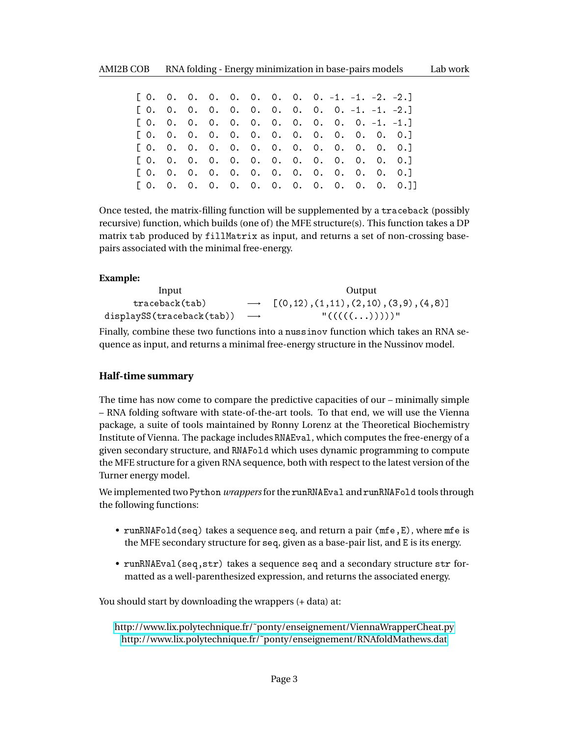| $[0. 0. 0. 0. 0. 0. 0. 0. 0. 0. -1. -1. -2. -2.]$ |  |  |  |  |  |                                   |
|---------------------------------------------------|--|--|--|--|--|-----------------------------------|
| $[0, 0, 0, 0, 0, 0, 0, 0, 0, 0, 0, -1, -1, -2.]$  |  |  |  |  |  |                                   |
| $[0. 0. 0. 0. 0. 0. 0. 0. 0. 0. 0. 0. -1. -1.]$   |  |  |  |  |  |                                   |
| [0.0.0.0.0.0.0.0.0.0.0.0.0.0]                     |  |  |  |  |  |                                   |
| [0.0.0.0.0.0.0.0.0.0.0.0.0.0.0.1                  |  |  |  |  |  |                                   |
| [0.0.0.0.0.0.0.0.0.0.0.0.0.0.0.1                  |  |  |  |  |  |                                   |
| [0.0.0.0.0.0.0.0.0.0.0.0.0.0.0.1                  |  |  |  |  |  |                                   |
|                                                   |  |  |  |  |  | [0.0.0.0.0.0.0.0.0.0.0.0.0.0.0.1] |

Once tested, the matrix-filling function will be supplemented by a traceback (possibly recursive) function, which builds (one of) the MFE structure(s). This function takes a DP matrix tab produced by fillMatrix as input, and returns a set of non-crossing basepairs associated with the minimal free-energy.

## **Example:**

| Input                                       | Output                                               |
|---------------------------------------------|------------------------------------------------------|
| traceback(tab)                              | $\rightarrow$ [(0,12), (1,11), (2,10), (3,9), (4,8)] |
| displaySS(traceback(tab)) $\longrightarrow$ | "(((((()))))"                                        |

Finally, combine these two functions into a nussinov function which takes an RNA sequence as input, and returns a minimal free-energy structure in the Nussinov model.

## **Half-time summary**

The time has now come to compare the predictive capacities of our – minimally simple – RNA folding software with state-of-the-art tools. To that end, we will use the Vienna package, a suite of tools maintained by Ronny Lorenz at the Theoretical Biochemistry Institute of Vienna. The package includes RNAEval, which computes the free-energy of a given secondary structure, and RNAFold which uses dynamic programming to compute the MFE structure for a given RNA sequence, both with respect to the latest version of the Turner energy model.

We implemented two Python *wrappers*for the runRNAEval and runRNAFold tools through the following functions:

- runRNAFold(seq) takes a sequence seq, and return a pair (mfe,E), where mfe is the MFE secondary structure for seq, given as a base-pair list, and E is its energy.
- runRNAEval(seq,str) takes a sequence seq and a secondary structure str formatted as a well-parenthesized expression, and returns the associated energy.

You should start by downloading the wrappers  $(+)$  data) at:

[http://www.lix.polytechnique.fr/˜ponty/enseignement/ViennaWrapperCheat.py](http://www.lix.polytechnique.fr/~ponty/enseignement/ViennaWrapperCheat.py) [http://www.lix.polytechnique.fr/˜ponty/enseignement/RNAfoldMathews.dat](http://www.lix.polytechnique.fr/~ponty/enseignement/RNAfoldMathews.dat)